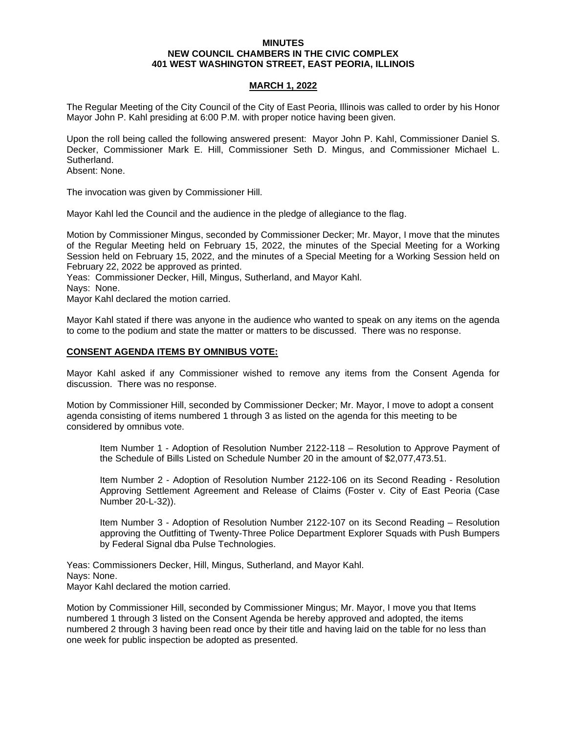#### **MINUTES NEW COUNCIL CHAMBERS IN THE CIVIC COMPLEX 401 WEST WASHINGTON STREET, EAST PEORIA, ILLINOIS**

# **MARCH 1, 2022**

The Regular Meeting of the City Council of the City of East Peoria, Illinois was called to order by his Honor Mayor John P. Kahl presiding at 6:00 P.M. with proper notice having been given.

Upon the roll being called the following answered present: Mayor John P. Kahl, Commissioner Daniel S. Decker, Commissioner Mark E. Hill, Commissioner Seth D. Mingus, and Commissioner Michael L. Sutherland.

Absent: None.

The invocation was given by Commissioner Hill.

Mayor Kahl led the Council and the audience in the pledge of allegiance to the flag.

Motion by Commissioner Mingus, seconded by Commissioner Decker; Mr. Mayor, I move that the minutes of the Regular Meeting held on February 15, 2022, the minutes of the Special Meeting for a Working Session held on February 15, 2022, and the minutes of a Special Meeting for a Working Session held on February 22, 2022 be approved as printed.

Yeas: Commissioner Decker, Hill, Mingus, Sutherland, and Mayor Kahl.

Nays: None.

Mayor Kahl declared the motion carried.

Mayor Kahl stated if there was anyone in the audience who wanted to speak on any items on the agenda to come to the podium and state the matter or matters to be discussed. There was no response.

## **CONSENT AGENDA ITEMS BY OMNIBUS VOTE:**

Mayor Kahl asked if any Commissioner wished to remove any items from the Consent Agenda for discussion. There was no response.

Motion by Commissioner Hill, seconded by Commissioner Decker; Mr. Mayor, I move to adopt a consent agenda consisting of items numbered 1 through 3 as listed on the agenda for this meeting to be considered by omnibus vote.

Item Number 1 - Adoption of Resolution Number 2122-118 – Resolution to Approve Payment of the Schedule of Bills Listed on Schedule Number 20 in the amount of \$2,077,473.51.

Item Number 2 - Adoption of Resolution Number 2122-106 on its Second Reading - Resolution Approving Settlement Agreement and Release of Claims (Foster v. City of East Peoria (Case Number 20-L-32)).

Item Number 3 - Adoption of Resolution Number 2122-107 on its Second Reading – Resolution approving the Outfitting of Twenty-Three Police Department Explorer Squads with Push Bumpers by Federal Signal dba Pulse Technologies.

Yeas: Commissioners Decker, Hill, Mingus, Sutherland, and Mayor Kahl. Nays: None. Mayor Kahl declared the motion carried.

Motion by Commissioner Hill, seconded by Commissioner Mingus; Mr. Mayor, I move you that Items numbered 1 through 3 listed on the Consent Agenda be hereby approved and adopted, the items numbered 2 through 3 having been read once by their title and having laid on the table for no less than one week for public inspection be adopted as presented.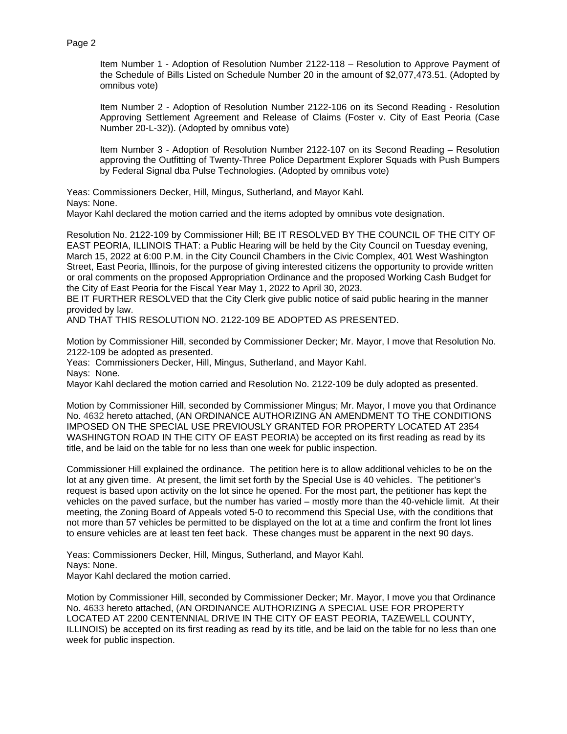Item Number 1 - Adoption of Resolution Number 2122-118 – Resolution to Approve Payment of the Schedule of Bills Listed on Schedule Number 20 in the amount of \$2,077,473.51. (Adopted by omnibus vote)

Item Number 2 - Adoption of Resolution Number 2122-106 on its Second Reading - Resolution Approving Settlement Agreement and Release of Claims (Foster v. City of East Peoria (Case Number 20-L-32)). (Adopted by omnibus vote)

Item Number 3 - Adoption of Resolution Number 2122-107 on its Second Reading – Resolution approving the Outfitting of Twenty-Three Police Department Explorer Squads with Push Bumpers by Federal Signal dba Pulse Technologies. (Adopted by omnibus vote)

Yeas: Commissioners Decker, Hill, Mingus, Sutherland, and Mayor Kahl. Nays: None.

Mayor Kahl declared the motion carried and the items adopted by omnibus vote designation.

Resolution No. 2122-109 by Commissioner Hill; BE IT RESOLVED BY THE COUNCIL OF THE CITY OF EAST PEORIA, ILLINOIS THAT: a Public Hearing will be held by the City Council on Tuesday evening, March 15, 2022 at 6:00 P.M. in the City Council Chambers in the Civic Complex, 401 West Washington Street, East Peoria, Illinois, for the purpose of giving interested citizens the opportunity to provide written or oral comments on the proposed Appropriation Ordinance and the proposed Working Cash Budget for the City of East Peoria for the Fiscal Year May 1, 2022 to April 30, 2023.

BE IT FURTHER RESOLVED that the City Clerk give public notice of said public hearing in the manner provided by law.

AND THAT THIS RESOLUTION NO. 2122-109 BE ADOPTED AS PRESENTED.

Motion by Commissioner Hill, seconded by Commissioner Decker; Mr. Mayor, I move that Resolution No. 2122-109 be adopted as presented.

Yeas: Commissioners Decker, Hill, Mingus, Sutherland, and Mayor Kahl. Nays: None.

Mayor Kahl declared the motion carried and Resolution No. 2122-109 be duly adopted as presented.

Motion by Commissioner Hill, seconded by Commissioner Mingus; Mr. Mayor, I move you that Ordinance No. 4632 hereto attached, (AN ORDINANCE AUTHORIZING AN AMENDMENT TO THE CONDITIONS IMPOSED ON THE SPECIAL USE PREVIOUSLY GRANTED FOR PROPERTY LOCATED AT 2354 WASHINGTON ROAD IN THE CITY OF EAST PEORIA) be accepted on its first reading as read by its title, and be laid on the table for no less than one week for public inspection.

Commissioner Hill explained the ordinance. The petition here is to allow additional vehicles to be on the lot at any given time. At present, the limit set forth by the Special Use is 40 vehicles. The petitioner's request is based upon activity on the lot since he opened. For the most part, the petitioner has kept the vehicles on the paved surface, but the number has varied – mostly more than the 40-vehicle limit. At their meeting, the Zoning Board of Appeals voted 5-0 to recommend this Special Use, with the conditions that not more than 57 vehicles be permitted to be displayed on the lot at a time and confirm the front lot lines to ensure vehicles are at least ten feet back. These changes must be apparent in the next 90 days.

Yeas: Commissioners Decker, Hill, Mingus, Sutherland, and Mayor Kahl. Nays: None. Mayor Kahl declared the motion carried.

Motion by Commissioner Hill, seconded by Commissioner Decker; Mr. Mayor, I move you that Ordinance No. 4633 hereto attached, (AN ORDINANCE AUTHORIZING A SPECIAL USE FOR PROPERTY LOCATED AT 2200 CENTENNIAL DRIVE IN THE CITY OF EAST PEORIA, TAZEWELL COUNTY, ILLINOIS) be accepted on its first reading as read by its title, and be laid on the table for no less than one week for public inspection.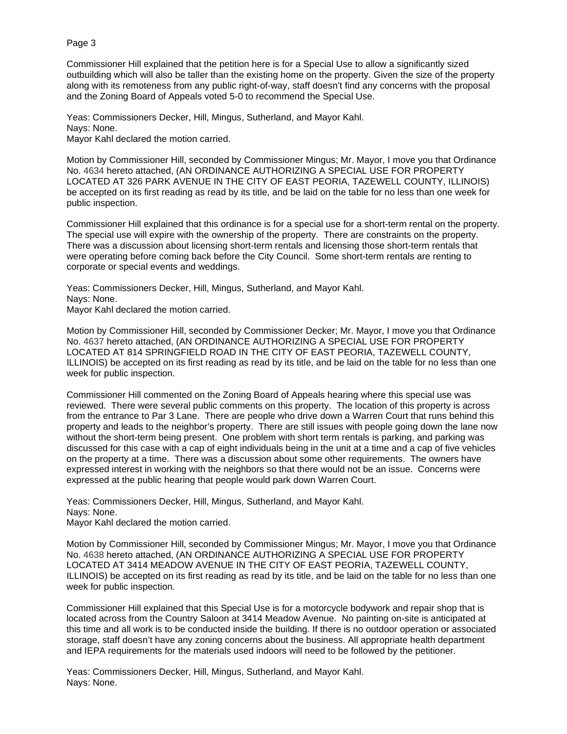Commissioner Hill explained that the petition here is for a Special Use to allow a significantly sized outbuilding which will also be taller than the existing home on the property. Given the size of the property along with its remoteness from any public right-of-way, staff doesn't find any concerns with the proposal and the Zoning Board of Appeals voted 5-0 to recommend the Special Use.

Yeas: Commissioners Decker, Hill, Mingus, Sutherland, and Mayor Kahl. Nays: None. Mayor Kahl declared the motion carried.

Motion by Commissioner Hill, seconded by Commissioner Mingus; Mr. Mayor, I move you that Ordinance No. 4634 hereto attached, (AN ORDINANCE AUTHORIZING A SPECIAL USE FOR PROPERTY LOCATED AT 326 PARK AVENUE IN THE CITY OF EAST PEORIA, TAZEWELL COUNTY, ILLINOIS) be accepted on its first reading as read by its title, and be laid on the table for no less than one week for public inspection.

Commissioner Hill explained that this ordinance is for a special use for a short-term rental on the property. The special use will expire with the ownership of the property. There are constraints on the property. There was a discussion about licensing short-term rentals and licensing those short-term rentals that were operating before coming back before the City Council. Some short-term rentals are renting to corporate or special events and weddings.

Yeas: Commissioners Decker, Hill, Mingus, Sutherland, and Mayor Kahl. Nays: None. Mayor Kahl declared the motion carried.

Motion by Commissioner Hill, seconded by Commissioner Decker; Mr. Mayor, I move you that Ordinance No. 4637 hereto attached, (AN ORDINANCE AUTHORIZING A SPECIAL USE FOR PROPERTY LOCATED AT 814 SPRINGFIELD ROAD IN THE CITY OF EAST PEORIA, TAZEWELL COUNTY, ILLINOIS) be accepted on its first reading as read by its title, and be laid on the table for no less than one week for public inspection.

Commissioner Hill commented on the Zoning Board of Appeals hearing where this special use was reviewed. There were several public comments on this property. The location of this property is across from the entrance to Par 3 Lane. There are people who drive down a Warren Court that runs behind this property and leads to the neighbor's property. There are still issues with people going down the lane now without the short-term being present. One problem with short term rentals is parking, and parking was discussed for this case with a cap of eight individuals being in the unit at a time and a cap of five vehicles on the property at a time. There was a discussion about some other requirements. The owners have expressed interest in working with the neighbors so that there would not be an issue. Concerns were expressed at the public hearing that people would park down Warren Court.

Yeas: Commissioners Decker, Hill, Mingus, Sutherland, and Mayor Kahl. Nays: None.

Mayor Kahl declared the motion carried.

Motion by Commissioner Hill, seconded by Commissioner Mingus; Mr. Mayor, I move you that Ordinance No. 4638 hereto attached, (AN ORDINANCE AUTHORIZING A SPECIAL USE FOR PROPERTY LOCATED AT 3414 MEADOW AVENUE IN THE CITY OF EAST PEORIA, TAZEWELL COUNTY, ILLINOIS) be accepted on its first reading as read by its title, and be laid on the table for no less than one week for public inspection.

Commissioner Hill explained that this Special Use is for a motorcycle bodywork and repair shop that is located across from the Country Saloon at 3414 Meadow Avenue. No painting on-site is anticipated at this time and all work is to be conducted inside the building. If there is no outdoor operation or associated storage, staff doesn't have any zoning concerns about the business. All appropriate health department and IEPA requirements for the materials used indoors will need to be followed by the petitioner.

Yeas: Commissioners Decker, Hill, Mingus, Sutherland, and Mayor Kahl. Nays: None.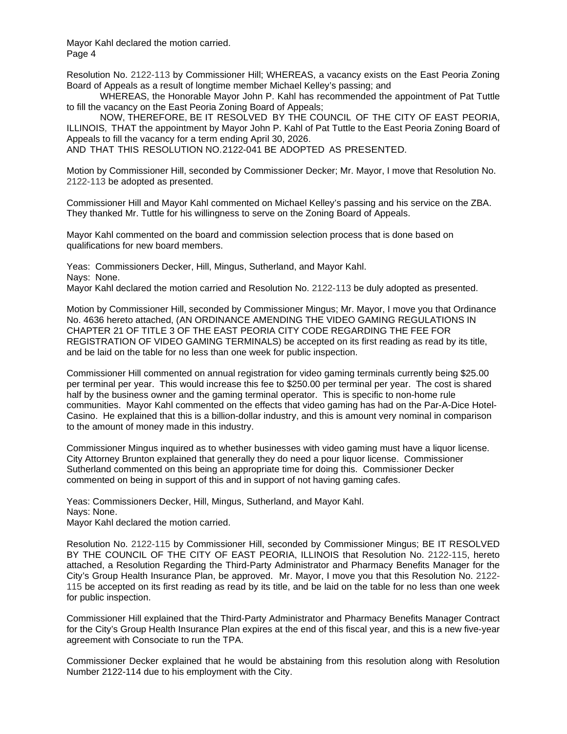Mayor Kahl declared the motion carried. Page 4

Resolution No. 2122-113 by Commissioner Hill; WHEREAS, a vacancy exists on the East Peoria Zoning Board of Appeals as a result of longtime member Michael Kelley's passing; and

WHEREAS, the Honorable Mayor John P. Kahl has recommended the appointment of Pat Tuttle to fill the vacancy on the East Peoria Zoning Board of Appeals;

NOW, THEREFORE, BE IT RESOLVED BY THE COUNCIL OF THE CITY OF EAST PEORIA, ILLINOIS, THAT the appointment by Mayor John P. Kahl of Pat Tuttle to the East Peoria Zoning Board of Appeals to fill the vacancy for a term ending April 30, 2026.

AND THAT THIS RESOLUTION NO. 2122-041 BE ADOPTED AS PRESENTED.

Motion by Commissioner Hill, seconded by Commissioner Decker; Mr. Mayor, I move that Resolution No. 2122-113 be adopted as presented.

Commissioner Hill and Mayor Kahl commented on Michael Kelley's passing and his service on the ZBA. They thanked Mr. Tuttle for his willingness to serve on the Zoning Board of Appeals.

Mayor Kahl commented on the board and commission selection process that is done based on qualifications for new board members.

Yeas: Commissioners Decker, Hill, Mingus, Sutherland, and Mayor Kahl. Nays: None.

Mayor Kahl declared the motion carried and Resolution No. 2122-113 be duly adopted as presented.

Motion by Commissioner Hill, seconded by Commissioner Mingus; Mr. Mayor, I move you that Ordinance No. 4636 hereto attached, (AN ORDINANCE AMENDING THE VIDEO GAMING REGULATIONS IN CHAPTER 21 OF TITLE 3 OF THE EAST PEORIA CITY CODE REGARDING THE FEE FOR REGISTRATION OF VIDEO GAMING TERMINALS) be accepted on its first reading as read by its title, and be laid on the table for no less than one week for public inspection.

Commissioner Hill commented on annual registration for video gaming terminals currently being \$25.00 per terminal per year. This would increase this fee to \$250.00 per terminal per year. The cost is shared half by the business owner and the gaming terminal operator. This is specific to non-home rule communities. Mayor Kahl commented on the effects that video gaming has had on the Par-A-Dice Hotel-Casino. He explained that this is a billion-dollar industry, and this is amount very nominal in comparison to the amount of money made in this industry.

Commissioner Mingus inquired as to whether businesses with video gaming must have a liquor license. City Attorney Brunton explained that generally they do need a pour liquor license. Commissioner Sutherland commented on this being an appropriate time for doing this. Commissioner Decker commented on being in support of this and in support of not having gaming cafes.

Yeas: Commissioners Decker, Hill, Mingus, Sutherland, and Mayor Kahl. Nays: None. Mayor Kahl declared the motion carried.

Resolution No. 2122-115 by Commissioner Hill, seconded by Commissioner Mingus; BE IT RESOLVED BY THE COUNCIL OF THE CITY OF EAST PEORIA, ILLINOIS that Resolution No. 2122-115, hereto attached, a Resolution Regarding the Third-Party Administrator and Pharmacy Benefits Manager for the City's Group Health Insurance Plan, be approved. Mr. Mayor, I move you that this Resolution No. 2122- 115 be accepted on its first reading as read by its title, and be laid on the table for no less than one week for public inspection.

Commissioner Hill explained that the Third-Party Administrator and Pharmacy Benefits Manager Contract for the City's Group Health Insurance Plan expires at the end of this fiscal year, and this is a new five-year agreement with Consociate to run the TPA.

Commissioner Decker explained that he would be abstaining from this resolution along with Resolution Number 2122-114 due to his employment with the City.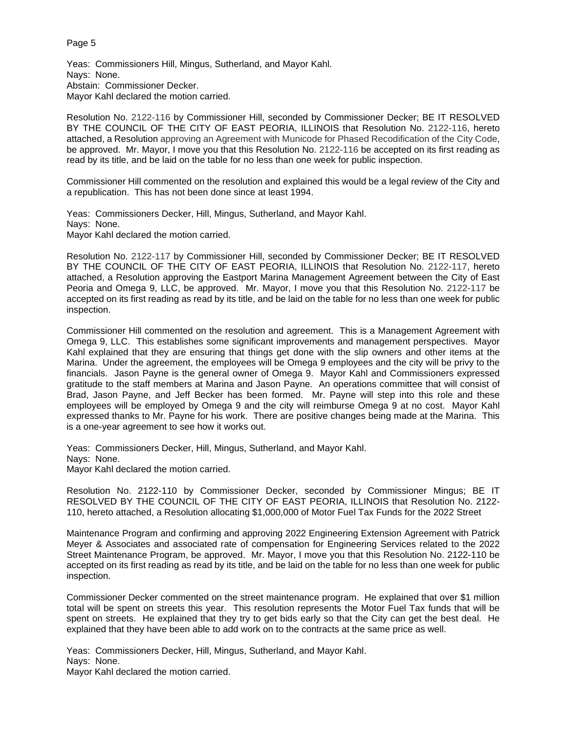Yeas: Commissioners Hill, Mingus, Sutherland, and Mayor Kahl. Nays: None. Abstain: Commissioner Decker. Mayor Kahl declared the motion carried.

Resolution No. 2122-116 by Commissioner Hill, seconded by Commissioner Decker; BE IT RESOLVED BY THE COUNCIL OF THE CITY OF EAST PEORIA, ILLINOIS that Resolution No. 2122-116, hereto attached, a Resolution approving an Agreement with Municode for Phased Recodification of the City Code, be approved. Mr. Mayor, I move you that this Resolution No. 2122-116 be accepted on its first reading as read by its title, and be laid on the table for no less than one week for public inspection.

Commissioner Hill commented on the resolution and explained this would be a legal review of the City and a republication. This has not been done since at least 1994.

Yeas: Commissioners Decker, Hill, Mingus, Sutherland, and Mayor Kahl. Nays: None. Mayor Kahl declared the motion carried.

Resolution No. 2122-117 by Commissioner Hill, seconded by Commissioner Decker; BE IT RESOLVED BY THE COUNCIL OF THE CITY OF EAST PEORIA, ILLINOIS that Resolution No. 2122-117, hereto attached, a Resolution approving the Eastport Marina Management Agreement between the City of East Peoria and Omega 9, LLC, be approved. Mr. Mayor, I move you that this Resolution No. 2122-117 be accepted on its first reading as read by its title, and be laid on the table for no less than one week for public inspection.

Commissioner Hill commented on the resolution and agreement. This is a Management Agreement with Omega 9, LLC. This establishes some significant improvements and management perspectives. Mayor Kahl explained that they are ensuring that things get done with the slip owners and other items at the Marina. Under the agreement, the employees will be Omega 9 employees and the city will be privy to the financials. Jason Payne is the general owner of Omega 9. Mayor Kahl and Commissioners expressed gratitude to the staff members at Marina and Jason Payne. An operations committee that will consist of Brad, Jason Payne, and Jeff Becker has been formed. Mr. Payne will step into this role and these employees will be employed by Omega 9 and the city will reimburse Omega 9 at no cost. Mayor Kahl expressed thanks to Mr. Payne for his work. There are positive changes being made at the Marina. This is a one-year agreement to see how it works out.

Yeas: Commissioners Decker, Hill, Mingus, Sutherland, and Mayor Kahl. Nays: None. Mayor Kahl declared the motion carried.

Resolution No. 2122-110 by Commissioner Decker, seconded by Commissioner Mingus; BE IT RESOLVED BY THE COUNCIL OF THE CITY OF EAST PEORIA, ILLINOIS that Resolution No. 2122- 110, hereto attached, a Resolution allocating \$1,000,000 of Motor Fuel Tax Funds for the 2022 Street

Maintenance Program and confirming and approving 2022 Engineering Extension Agreement with Patrick Meyer & Associates and associated rate of compensation for Engineering Services related to the 2022 Street Maintenance Program, be approved. Mr. Mayor, I move you that this Resolution No. 2122-110 be accepted on its first reading as read by its title, and be laid on the table for no less than one week for public inspection.

Commissioner Decker commented on the street maintenance program. He explained that over \$1 million total will be spent on streets this year. This resolution represents the Motor Fuel Tax funds that will be spent on streets. He explained that they try to get bids early so that the City can get the best deal. He explained that they have been able to add work on to the contracts at the same price as well.

Yeas: Commissioners Decker, Hill, Mingus, Sutherland, and Mayor Kahl. Nays: None. Mayor Kahl declared the motion carried.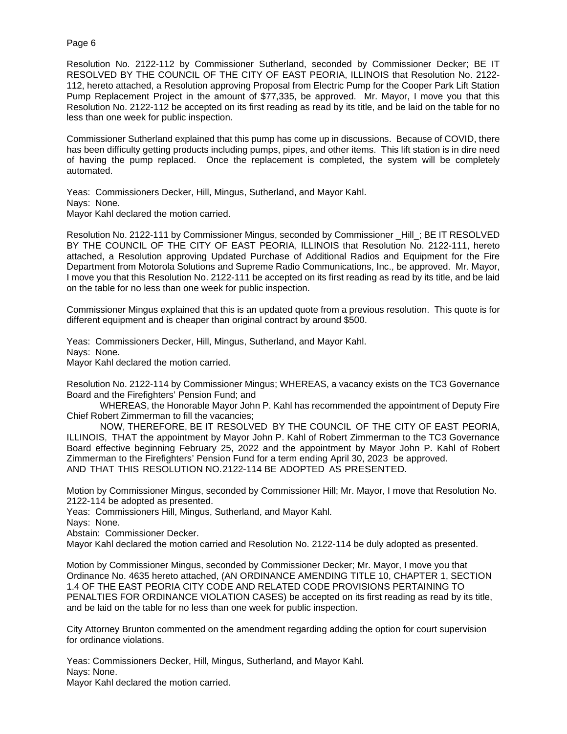Resolution No. 2122-112 by Commissioner Sutherland, seconded by Commissioner Decker; BE IT RESOLVED BY THE COUNCIL OF THE CITY OF EAST PEORIA, ILLINOIS that Resolution No. 2122- 112, hereto attached, a Resolution approving Proposal from Electric Pump for the Cooper Park Lift Station Pump Replacement Project in the amount of \$77,335, be approved. Mr. Mayor, I move you that this Resolution No. 2122-112 be accepted on its first reading as read by its title, and be laid on the table for no less than one week for public inspection.

Commissioner Sutherland explained that this pump has come up in discussions. Because of COVID, there has been difficulty getting products including pumps, pipes, and other items. This lift station is in dire need of having the pump replaced. Once the replacement is completed, the system will be completely automated.

Yeas: Commissioners Decker, Hill, Mingus, Sutherland, and Mayor Kahl. Nays: None. Mayor Kahl declared the motion carried.

Resolution No. 2122-111 by Commissioner Mingus, seconded by Commissioner Hill; BE IT RESOLVED BY THE COUNCIL OF THE CITY OF EAST PEORIA, ILLINOIS that Resolution No. 2122-111, hereto attached, a Resolution approving Updated Purchase of Additional Radios and Equipment for the Fire Department from Motorola Solutions and Supreme Radio Communications, Inc., be approved. Mr. Mayor, I move you that this Resolution No. 2122-111 be accepted on its first reading as read by its title, and be laid on the table for no less than one week for public inspection.

Commissioner Mingus explained that this is an updated quote from a previous resolution. This quote is for different equipment and is cheaper than original contract by around \$500.

Yeas: Commissioners Decker, Hill, Mingus, Sutherland, and Mayor Kahl. Nays: None. Mayor Kahl declared the motion carried.

Resolution No. 2122-114 by Commissioner Mingus; WHEREAS, a vacancy exists on the TC3 Governance Board and the Firefighters' Pension Fund; and

WHEREAS, the Honorable Mayor John P. Kahl has recommended the appointment of Deputy Fire Chief Robert Zimmerman to fill the vacancies;

NOW, THEREFORE, BE IT RESOLVED BY THE COUNCIL OF THE CITY OF EAST PEORIA, ILLINOIS, THAT the appointment by Mayor John P. Kahl of Robert Zimmerman to the TC3 Governance Board effective beginning February 25, 2022 and the appointment by Mayor John P. Kahl of Robert Zimmerman to the Firefighters' Pension Fund for a term ending April 30, 2023 be approved. AND THAT THIS RESOLUTION NO. 2122-114 BE ADOPTED AS PRESENTED.

Motion by Commissioner Mingus, seconded by Commissioner Hill; Mr. Mayor, I move that Resolution No. 2122-114 be adopted as presented.

Yeas: Commissioners Hill, Mingus, Sutherland, and Mayor Kahl.

Nays: None.

Abstain: Commissioner Decker.

Mayor Kahl declared the motion carried and Resolution No. 2122-114 be duly adopted as presented.

Motion by Commissioner Mingus, seconded by Commissioner Decker; Mr. Mayor, I move you that Ordinance No. 4635 hereto attached, (AN ORDINANCE AMENDING TITLE 10, CHAPTER 1, SECTION 1.4 OF THE EAST PEORIA CITY CODE AND RELATED CODE PROVISIONS PERTAINING TO PENALTIES FOR ORDINANCE VIOLATION CASES) be accepted on its first reading as read by its title, and be laid on the table for no less than one week for public inspection.

City Attorney Brunton commented on the amendment regarding adding the option for court supervision for ordinance violations.

Yeas: Commissioners Decker, Hill, Mingus, Sutherland, and Mayor Kahl. Nays: None. Mayor Kahl declared the motion carried.